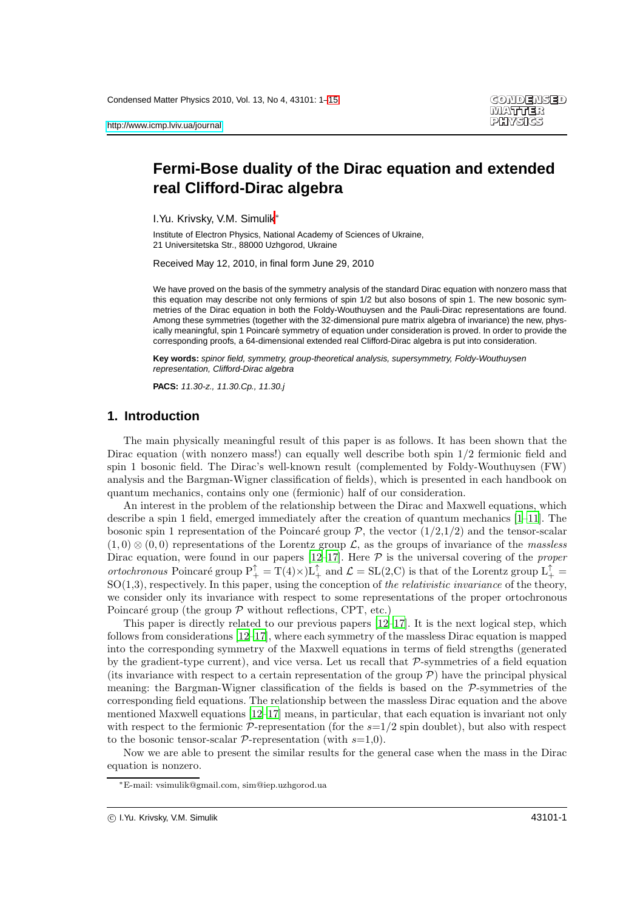# **Fermi-Bose duality of the Dirac equation and extended real Clifford-Dirac algebra**

I.Yu. Krivsky, V.M. Simulik<sup>∗</sup>

Institute of Electron Physics, National Academy of Sciences of Ukraine, 21 Universitetska Str., 88000 Uzhgorod, Ukraine

Received May 12, 2010, in final form June 29, 2010

We have proved on the basis of the symmetry analysis of the standard Dirac equation with nonzero mass that this equation may describe not only fermions of spin 1/2 but also bosons of spin 1. The new bosonic symmetries of the Dirac equation in both the Foldy-Wouthuysen and the Pauli-Dirac representations are found. Among these symmetries (together with the 32-dimensional pure matrix algebra of invariance) the new, physically meaningful, spin 1 Poincaré symmetry of equation under consideration is proved. In order to provide the corresponding proofs, a 64-dimensional extended real Clifford-Dirac algebra is put into consideration.

**Key words:** spinor field, symmetry, group-theoretical analysis, supersymmetry, Foldy-Wouthuysen representation, Clifford-Dirac algebra

**PACS:** 11.30-z., 11.30.Cp., 11.30.j

### **1. Introduction**

The main physically meaningful result of this paper is as follows. It has been shown that the Dirac equation (with nonzero mass!) can equally well describe both spin  $1/2$  fermionic field and spin 1 bosonic field. The Dirac's well-known result (complemented by Foldy-Wouthuysen (FW) analysis and the Bargman-Wigner classification of fields), which is presented in each handbook on quantum mechanics, contains only one (fermionic) half of our consideration.

An interest in the problem of the relationship between the Dirac and Maxwell equations, which describe a spin 1 field, emerged immediately after the creation of quantum mechanics [\[1](#page-14-1)[–11\]](#page-14-2). The bosonic spin 1 representation of the Poincaré group  $P$ , the vector  $(1/2,1/2)$  and the tensor-scalar  $(1,0) \otimes (0,0)$  representations of the Lorentz group  $\mathcal{L}$ , as the groups of invariance of the massless Dirac equation, were found in our papers  $[12-17]$ . Here  $P$  is the universal covering of the *proper* ortochronous Poincaré group  $P_+^{\uparrow} = T(4) \times L_+^{\uparrow}$  and  $\mathcal{L} = SL(2, C)$  is that of the Lorentz group  $L_+^{\uparrow} =$  $SO(1,3)$ , respectively. In this paper, using the conception of the *relativistic invariance* of the theory, we consider only its invariance with respect to some representations of the proper ortochronous Poincaré group (the group  $P$  without reflections, CPT, etc.)

This paper is directly related to our previous papers  $[12-17]$ . It is the next logical step, which follows from considerations [\[12](#page-14-3)[–17\]](#page-14-4), where each symmetry of the massless Dirac equation is mapped into the corresponding symmetry of the Maxwell equations in terms of field strengths (generated by the gradient-type current), and vice versa. Let us recall that  $P$ -symmetries of a field equation (its invariance with respect to a certain representation of the group  $P$ ) have the principal physical meaning: the Bargman-Wigner classification of the fields is based on the P-symmetries of the corresponding field equations. The relationship between the massless Dirac equation and the above mentioned Maxwell equations [\[12](#page-14-3)[–17\]](#page-14-4) means, in particular, that each equation is invariant not only with respect to the fermionic  $\mathcal{P}$ -representation (for the  $s=1/2$  spin doublet), but also with respect to the bosonic tensor-scalar  $\mathcal{P}$ -representation (with  $s=1,0$ ).

Now we are able to present the similar results for the general case when the mass in the Dirac equation is nonzero.

<sup>∗</sup>E-mail: vsimulik@gmail.com, sim@iep.uzhgorod.ua

c I.Yu. Krivsky, V.M. Simulik 43101-1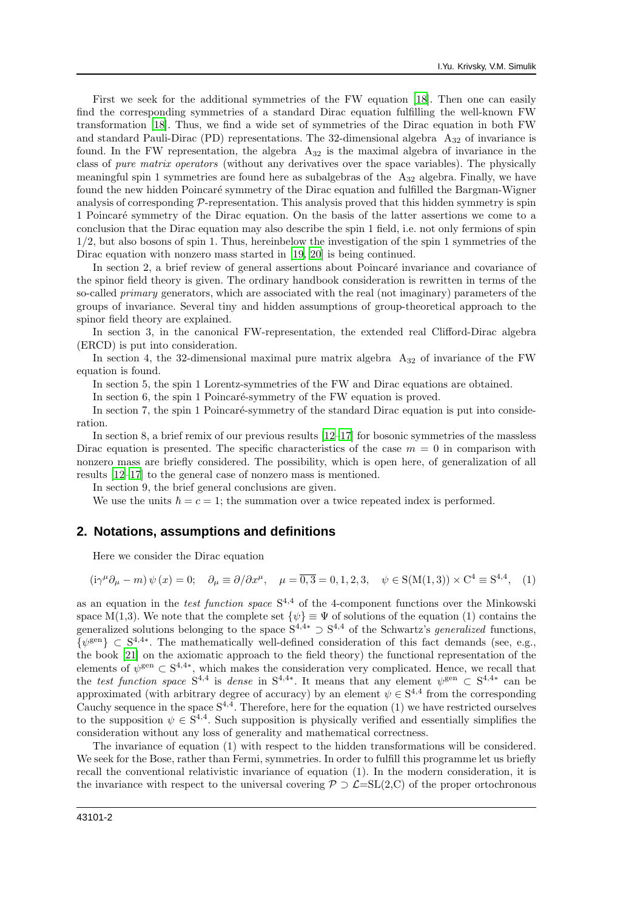First we seek for the additional symmetries of the FW equation [\[18](#page-14-5)]. Then one can easily find the corresponding symmetries of a standard Dirac equation fulfilling the well-known FW transformation [\[18\]](#page-14-5). Thus, we find a wide set of symmetries of the Dirac equation in both FW and standard Pauli-Dirac (PD) representations. The 32-dimensional algebra  $A_{32}$  of invariance is found. In the FW representation, the algebra  $A_{32}$  is the maximal algebra of invariance in the class of pure matrix operators (without any derivatives over the space variables). The physically meaningful spin 1 symmetries are found here as subalgebras of the A<sup>32</sup> algebra. Finally, we have found the new hidden Poincaré symmetry of the Dirac equation and fulfilled the Bargman-Wigner analysis of corresponding  $\mathcal{P}$ -representation. This analysis proved that this hidden symmetry is spin 1 Poincar´e symmetry of the Dirac equation. On the basis of the latter assertions we come to a conclusion that the Dirac equation may also describe the spin 1 field, i.e. not only fermions of spin 1/2, but also bosons of spin 1. Thus, hereinbelow the investigation of the spin 1 symmetries of the Dirac equation with nonzero mass started in [\[19](#page-14-6), [20](#page-14-7)] is being continued.

In section 2, a brief review of general assertions about Poincaré invariance and covariance of the spinor field theory is given. The ordinary handbook consideration is rewritten in terms of the so-called *primary* generators, which are associated with the real (not imaginary) parameters of the groups of invariance. Several tiny and hidden assumptions of group-theoretical approach to the spinor field theory are explained.

In section 3, in the canonical FW-representation, the extended real Clifford-Dirac algebra (ERCD) is put into consideration.

In section 4, the 32-dimensional maximal pure matrix algebra  $A_{32}$  of invariance of the FW equation is found.

In section 5, the spin 1 Lorentz-symmetries of the FW and Dirac equations are obtained.

In section 6, the spin 1 Poincaré-symmetry of the FW equation is proved.

In section 7, the spin 1 Poincaré-symmetry of the standard Dirac equation is put into consideration.

In section 8, a brief remix of our previous results [\[12](#page-14-3)[–17\]](#page-14-4) for bosonic symmetries of the massless Dirac equation is presented. The specific characteristics of the case  $m = 0$  in comparison with nonzero mass are briefly considered. The possibility, which is open here, of generalization of all results [\[12](#page-14-3)[–17](#page-14-4)] to the general case of nonzero mass is mentioned.

In section 9, the brief general conclusions are given.

We use the units  $\hbar = c = 1$ ; the summation over a twice repeated index is performed.

#### **2. Notations, assumptions and definitions**

Here we consider the Dirac equation

$$
(i\gamma^{\mu}\partial_{\mu} - m)\psi(x) = 0; \quad \partial_{\mu} \equiv \partial/\partial x^{\mu}, \quad \mu = \overline{0,3} = 0, 1, 2, 3, \quad \psi \in S(M(1,3)) \times C^{4} \equiv S^{4,4}, \quad (1)
$$

as an equation in the *test function space*  $S^{4,4}$  of the 4-component functions over the Minkowski space M(1,3). We note that the complete set  $\{\psi\} \equiv \Psi$  of solutions of the equation (1) contains the generalized solutions belonging to the space  $S^{4,4*} \supset S^{4,4}$  of the Schwartz's *generalized* functions,  $\{\psi^{\text{gen}}\}\subset S^{4,4*}$ . The mathematically well-defined consideration of this fact demands (see, e.g., the book [\[21\]](#page-14-8) on the axiomatic approach to the field theory) the functional representation of the elements of  $\psi^{\text{gen}} \subset S^{4,4*}$ , which makes the consideration very complicated. Hence, we recall that the test function space  $S^{4,4}$  is dense in  $S^{4,4*}$ . It means that any element  $\psi^{\text{gen}} \subset S^{4,4*}$  can be approximated (with arbitrary degree of accuracy) by an element  $\psi \in S^{4,4}$  from the corresponding Cauchy sequence in the space  $S^{4,4}$ . Therefore, here for the equation (1) we have restricted ourselves to the supposition  $\psi \in S^{4,4}$ . Such supposition is physically verified and essentially simplifies the consideration without any loss of generality and mathematical correctness.

The invariance of equation (1) with respect to the hidden transformations will be considered. We seek for the Bose, rather than Fermi, symmetries. In order to fulfill this programme let us briefly recall the conventional relativistic invariance of equation (1). In the modern consideration, it is the invariance with respect to the universal covering  $\mathcal{P} \supset \mathcal{L}=\mathrm{SL}(2,\mathbb{C})$  of the proper ortochronous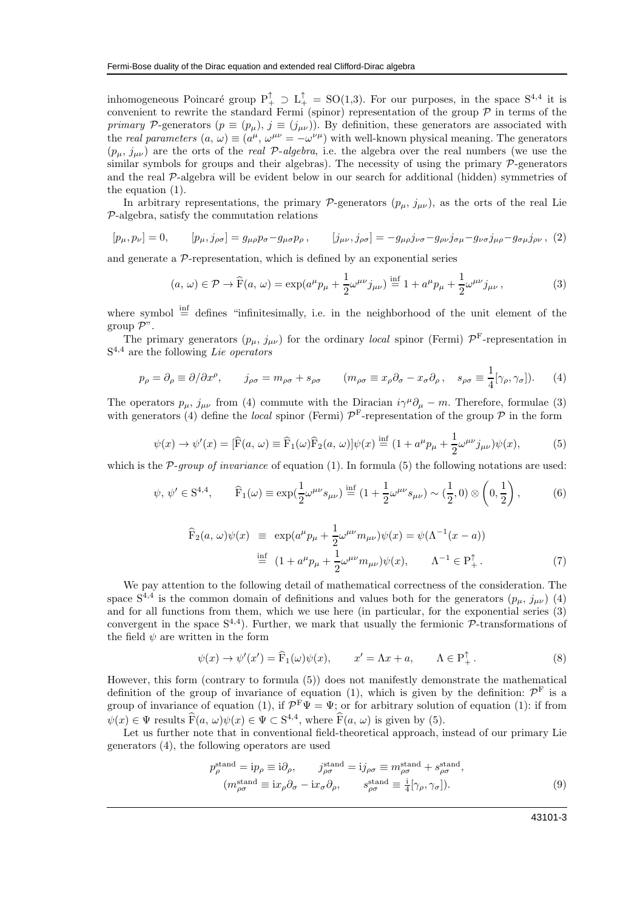inhomogeneous Poincaré group  $P_+^{\uparrow} \supset L_+^{\uparrow} = SO(1,3)$ . For our purposes, in the space  $S^{4,4}$  it is convenient to rewrite the standard Fermi (spinor) representation of the group  $P$  in terms of the primary P-generators ( $p \equiv (p_{\mu}), j \equiv (j_{\mu\nu})$ ). By definition, these generators are associated with the real parameters  $(a, \omega) \equiv (a^{\mu}, \omega^{\mu\nu} = -\omega^{\nu\mu})$  with well-known physical meaning. The generators  $(p_{\mu}, j_{\mu\nu})$  are the orts of the *real* P-algebra, i.e. the algebra over the real numbers (we use the similar symbols for groups and their algebras). The necessity of using the primary  $\mathcal{P}$ -generators and the real P-algebra will be evident below in our search for additional (hidden) symmetries of the equation (1).

In arbitrary representations, the primary P-generators  $(p_{\mu}, j_{\mu\nu})$ , as the orts of the real Lie P-algebra, satisfy the commutation relations

$$
[p_{\mu}, p_{\nu}] = 0, \qquad [p_{\mu}, j_{\rho\sigma}] = g_{\mu\rho}p_{\sigma} - g_{\mu\sigma}p_{\rho}, \qquad [j_{\mu\nu}, j_{\rho\sigma}] = -g_{\mu\rho}j_{\nu\sigma} - g_{\rho\nu}j_{\sigma\mu} - g_{\nu\sigma}j_{\mu\rho} - g_{\sigma\mu}j_{\rho\nu}, (2)
$$

and generate a  $\mathcal{P}$ -representation, which is defined by an exponential series

$$
(a,\,\omega)\in\mathcal{P}\to\widehat{\mathcal{F}}(a,\,\omega)=\exp(a^{\mu}p_{\mu}+\frac{1}{2}\omega^{\mu\nu}j_{\mu\nu})\stackrel{\text{inf}}{=}1+a^{\mu}p_{\mu}+\frac{1}{2}\omega^{\mu\nu}j_{\mu\nu}\,,\tag{3}
$$

where symbol  $\stackrel{\text{inf}}{=}$  defines "infinitesimally, i.e. in the neighborhood of the unit element of the group  $\mathcal{P}$ ".

The primary generators  $(p_{\mu}, j_{\mu\nu})$  for the ordinary *local* spinor (Fermi)  $\mathcal{P}^{\text{F}}$ -representation in  $S^{4,4}$  are the following Lie operators

$$
p_{\rho} = \partial_{\rho} \equiv \partial/\partial x^{\rho}, \qquad j_{\rho\sigma} = m_{\rho\sigma} + s_{\rho\sigma} \qquad (m_{\rho\sigma} \equiv x_{\rho}\partial_{\sigma} - x_{\sigma}\partial_{\rho}, \quad s_{\rho\sigma} \equiv \frac{1}{4}[\gamma_{\rho}, \gamma_{\sigma}]. \tag{4}
$$

The operators  $p_{\mu}$ ,  $j_{\mu\nu}$  from (4) commute with the Diracian  $i\gamma^{\mu}\partial_{\mu} - m$ . Therefore, formulae (3) with generators (4) define the *local* spinor (Fermi)  $\mathcal{P}^{\text{F}}$ -representation of the group  $\mathcal{P}$  in the form

$$
\psi(x) \to \psi'(x) = [\widehat{F}(a,\,\omega) \equiv \widehat{F}_1(\omega)\widehat{F}_2(a,\,\omega)]\psi(x) \stackrel{\text{inf}}{=} (1 + a^{\mu}p_{\mu} + \frac{1}{2}\omega^{\mu\nu}j_{\mu\nu})\psi(x),\tag{5}
$$

which is the  $P$ -group of invariance of equation (1). In formula (5) the following notations are used:

$$
\psi, \, \psi' \in \mathcal{S}^{4,4}, \qquad \widehat{\mathcal{F}}_1(\omega) \equiv \exp(\frac{1}{2}\omega^{\mu\nu}s_{\mu\nu}) \stackrel{\text{inf}}{=} (1 + \frac{1}{2}\omega^{\mu\nu}s_{\mu\nu}) \sim (\frac{1}{2}, 0) \otimes \left(0, \frac{1}{2}\right), \tag{6}
$$

$$
\widehat{F}_2(a,\,\omega)\psi(x) \ \equiv \ \exp(a^{\mu}p_{\mu} + \frac{1}{2}\omega^{\mu\nu}m_{\mu\nu})\psi(x) = \psi(\Lambda^{-1}(x-a)) \n\stackrel{\text{inf}}{=} \ (1 + a^{\mu}p_{\mu} + \frac{1}{2}\omega^{\mu\nu}m_{\mu\nu})\psi(x), \qquad \Lambda^{-1} \in P_+^{\uparrow}.
$$
\n(7)

We pay attention to the following detail of mathematical correctness of the consideration. The space  $S^{4,4}$  is the common domain of definitions and values both for the generators  $(p_{\mu}, j_{\mu\nu})$  (4) and for all functions from them, which we use here (in particular, for the exponential series (3) convergent in the space  $S^{4,4}$ ). Further, we mark that usually the fermionic  $P$ -transformations of the field  $\psi$  are written in the form

$$
\psi(x) \to \psi'(x') = \widehat{F}_1(\omega)\psi(x), \qquad x' = \Lambda x + a, \qquad \Lambda \in P_+^{\uparrow}.
$$
 (8)

However, this form (contrary to formula (5)) does not manifestly demonstrate the mathematical definition of the group of invariance of equation (1), which is given by the definition:  $\mathcal{P}^{\mathrm{F}}$  is a group of invariance of equation (1), if  $\mathcal{P}^F \Psi = \Psi$ ; or for arbitrary solution of equation (1): if from  $\psi(x) \in \Psi$  results  $\widehat{F}(a, \omega)\psi(x) \in \Psi \subset S^{4,4}$ , where  $\widehat{F}(a, \omega)$  is given by (5).

Let us further note that in conventional field-theoretical approach, instead of our primary Lie generators (4), the following operators are used

$$
p_{\rho}^{\text{stand}} = i p_{\rho} \equiv i \partial_{\rho}, \qquad j_{\rho\sigma}^{\text{stand}} = i j_{\rho\sigma} \equiv m_{\rho\sigma}^{\text{stand}} + s_{\rho\sigma}^{\text{stand}},
$$

$$
(m_{\rho\sigma}^{\text{stand}} \equiv i x_{\rho} \partial_{\sigma} - i x_{\sigma} \partial_{\rho}, \qquad s_{\rho\sigma}^{\text{stand}} \equiv \frac{i}{4} [\gamma_{\rho}, \gamma_{\sigma}]). \tag{9}
$$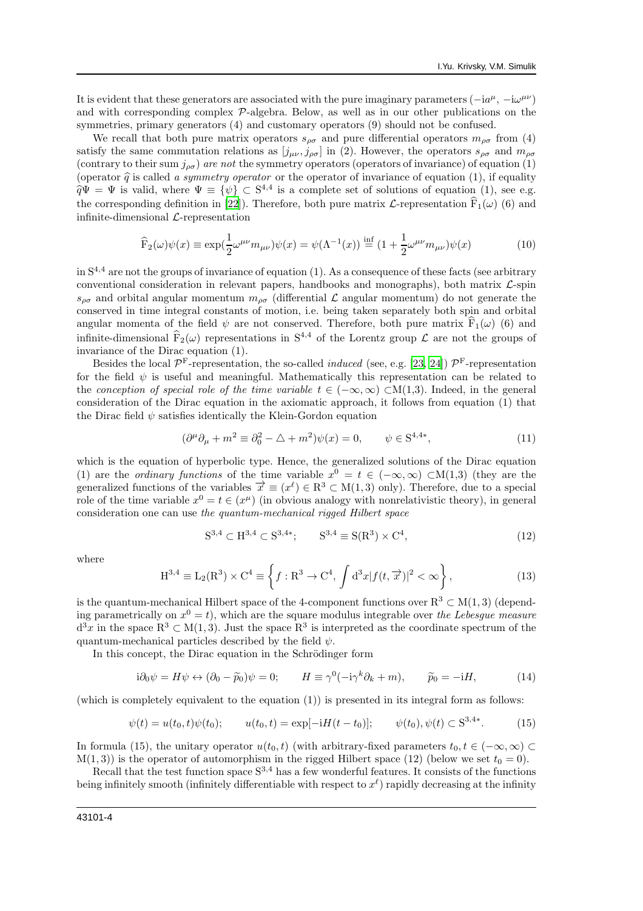It is evident that these generators are associated with the pure imaginary parameters  $(-ia^{\mu}, -i\omega^{\mu\nu})$ and with corresponding complex P-algebra. Below, as well as in our other publications on the symmetries, primary generators (4) and customary operators (9) should not be confused.

We recall that both pure matrix operators  $s_{\rho\sigma}$  and pure differential operators  $m_{\rho\sigma}$  from (4) satisfy the same commutation relations as  $[j_{\mu\nu}, j_{\rho\sigma}]$  in (2). However, the operators  $s_{\rho\sigma}$  and  $m_{\rho\sigma}$ (contrary to their sum  $j_{\rho\sigma}$ ) are not the symmetry operators (operators of invariance) of equation (1) (operator  $\hat{q}$  is called a symmetry operator or the operator of invariance of equation (1), if equality  $\widehat{q}\Psi = \Psi$  is valid, where  $\Psi \equiv {\psi} \subset S^{4,4}$  is a complete set of solutions of equation (1), see e.g. the corresponding definition in [\[22\]](#page-14-9)). Therefore, both pure matrix  $\mathcal{L}$ -representation  $\mathbf{F}_1(\omega)$  (6) and infinite-dimensional  $\mathcal{L}$ -representation

$$
\widehat{F}_2(\omega)\psi(x) \equiv \exp(\frac{1}{2}\omega^{\mu\nu}m_{\mu\nu})\psi(x) = \psi(\Lambda^{-1}(x)) \stackrel{\text{inf}}{=} (1 + \frac{1}{2}\omega^{\mu\nu}m_{\mu\nu})\psi(x) \tag{10}
$$

in  $S<sup>4,4</sup>$  are not the groups of invariance of equation (1). As a consequence of these facts (see arbitrary conventional consideration in relevant papers, handbooks and monographs), both matrix  $\mathcal{L}$ -spin  $s_{\rho\sigma}$  and orbital angular momentum  $m_{\rho\sigma}$  (differential  $\mathcal L$  angular momentum) do not generate the conserved in time integral constants of motion, i.e. being taken separately both spin and orbital angular momenta of the field  $\psi$  are not conserved. Therefore, both pure matrix  $\mathbf{F}_1(\omega)$  (6) and infinite-dimensional  $\widehat{F}_2(\omega)$  representations in  $S^{4,4}$  of the Lorentz group  $\mathcal L$  are not the groups of invariance of the Dirac equation (1).

Besides the local  $\mathcal{P}^{\text{F}}$ -representation, the so-called *induced* (see, e.g. [\[23](#page-14-10), [24\]](#page-14-11))  $\mathcal{P}^{\text{F}}$ -representation for the field  $\psi$  is useful and meaningful. Mathematically this representation can be related to the conception of special role of the time variable  $t \in (-\infty, \infty) \subset M(1,3)$ . Indeed, in the general consideration of the Dirac equation in the axiomatic approach, it follows from equation (1) that the Dirac field  $\psi$  satisfies identically the Klein-Gordon equation

$$
(\partial^{\mu}\partial_{\mu} + m^2 \equiv \partial_0^2 - \triangle + m^2)\psi(x) = 0, \qquad \psi \in \mathcal{S}^{4,4*}, \tag{11}
$$

which is the equation of hyperbolic type. Hence, the generalized solutions of the Dirac equation (1) are the *ordinary functions* of the time variable  $x^0 = t \in (-\infty, \infty) \subset M(1,3)$  (they are the generalized functions of the variables  $\vec{x} \equiv (x^{\ell}) \in \mathbb{R}^3 \subset M(1,3)$  only). Therefore, due to a special role of the time variable  $x^0 = t \in (x^{\mu})$  (in obvious analogy with nonrelativistic theory), in general consideration one can use the quantum-mechanical rigged Hilbert space

$$
S^{3,4} \subset H^{3,4} \subset S^{3,4*}; \qquad S^{3,4} \equiv S(R^3) \times C^4,\tag{12}
$$

where

$$
H^{3,4} \equiv L_2(R^3) \times C^4 \equiv \left\{ f: R^3 \to C^4, \int d^3x |f(t, \vec{x})|^2 < \infty \right\},\tag{13}
$$

is the quantum-mechanical Hilbert space of the 4-component functions over  $R^3 \subset M(1,3)$  (depending parametrically on  $x^0 = t$ ), which are the square modulus integrable over the Lebesgue measure  $d^3x$  in the space  $\mathbb{R}^3 \subset \mathbb{M}(1,3)$ . Just the space  $\mathbb{R}^3$  is interpreted as the coordinate spectrum of the quantum-mechanical particles described by the field  $\psi$ .

In this concept, the Dirac equation in the Schrödinger form

$$
i\partial_0 \psi = H\psi \leftrightarrow (\partial_0 - \widetilde{p}_0)\psi = 0; \qquad H \equiv \gamma^0(-i\gamma^k \partial_k + m), \qquad \widetilde{p}_0 = -iH,\tag{14}
$$

(which is completely equivalent to the equation (1)) is presented in its integral form as follows:

$$
\psi(t) = u(t_0, t)\psi(t_0); \qquad u(t_0, t) = \exp[-iH(t - t_0)]; \qquad \psi(t_0), \psi(t) \subset S^{3, 4*}.
$$
 (15)

In formula (15), the unitary operator  $u(t_0, t)$  (with arbitrary-fixed parameters  $t_0, t \in (-\infty, \infty) \subset$  $M(1, 3)$  is the operator of automorphism in the rigged Hilbert space (12) (below we set  $t_0 = 0$ ).

Recall that the test function space  $S^{3,4}$  has a few wonderful features. It consists of the functions being infinitely smooth (infinitely differentiable with respect to  $x^{\ell}$ ) rapidly decreasing at the infinity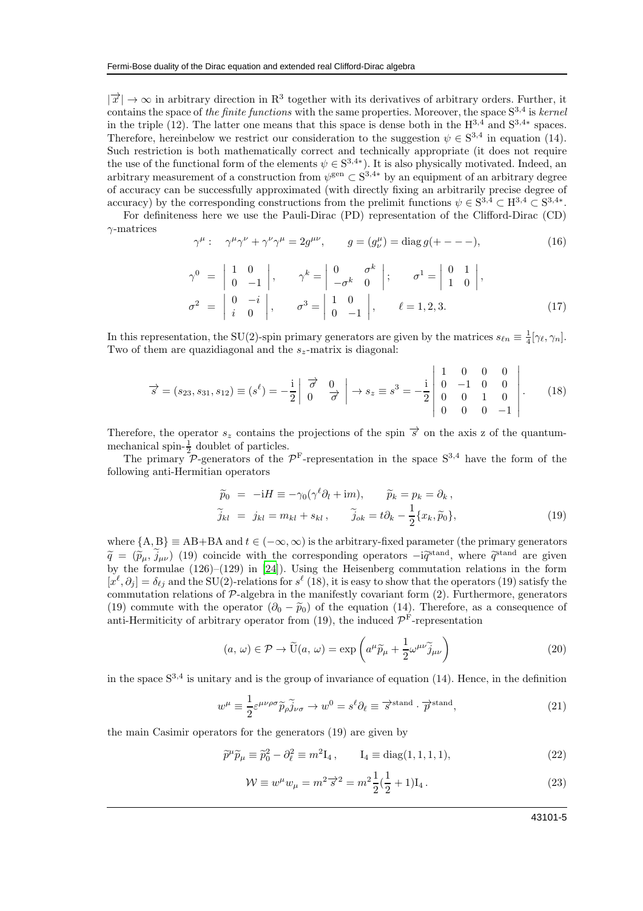$|\vec{x}| \to \infty$  in arbitrary direction in R<sup>3</sup> together with its derivatives of arbitrary orders. Further, it contains the space of the finite functions with the same properties. Moreover, the space  $S^{3,4}$  is kernel in the triple (12). The latter one means that this space is dense both in the  $H^{3,4}$  and  $S^{3,4*}$  spaces. Therefore, hereinbelow we restrict our consideration to the suggestion  $\psi \in S^{3,4}$  in equation (14). Such restriction is both mathematically correct and technically appropriate (it does not require the use of the functional form of the elements  $\psi \in S^{3,4*}$ ). It is also physically motivated. Indeed, an arbitrary measurement of a construction from  $\psi^{\text{gen}} \subset S^{3,4*}$  by an equipment of an arbitrary degree of accuracy can be successfully approximated (with directly fixing an arbitrarily precise degree of accuracy) by the corresponding constructions from the prelimit functions  $\psi \in S^{3,4} \subset H^{3,4} \subset S^{3,4*}$ .

For definiteness here we use the Pauli-Dirac (PD) representation of the Clifford-Dirac (CD)  $\gamma$ -matrices

$$
\gamma^{\mu}: \quad \gamma^{\mu}\gamma^{\nu} + \gamma^{\nu}\gamma^{\mu} = 2g^{\mu\nu}, \qquad g = (g_{\nu}^{\mu}) = \text{diag}\,g(+---), \tag{16}
$$

$$
\gamma^{0} = \begin{vmatrix} 1 & 0 \\ 0 & -1 \end{vmatrix}, \qquad \gamma^{k} = \begin{vmatrix} 0 & \sigma^{k} \\ -\sigma^{k} & 0 \end{vmatrix}; \qquad \sigma^{1} = \begin{vmatrix} 0 & 1 \\ 1 & 0 \end{vmatrix}, \n\sigma^{2} = \begin{vmatrix} 0 & -i \\ i & 0 \end{vmatrix}, \qquad \sigma^{3} = \begin{vmatrix} 1 & 0 \\ 0 & -1 \end{vmatrix}, \qquad \ell = 1, 2, 3.
$$
\n(17)

In this representation, the SU(2)-spin primary generators are given by the matrices  $s_{\ell n} \equiv \frac{1}{4} [\gamma_{\ell}, \gamma_n]$ . Two of them are quazidiagonal and the  $s_z$ -matrix is diagonal:

$$
\vec{s} = (s_{23}, s_{31}, s_{12}) \equiv (s^{\ell}) = -\frac{i}{2} \begin{vmatrix} \vec{\sigma} & 0 \\ 0 & \vec{\sigma} \end{vmatrix} \rightarrow s_z \equiv s^3 = -\frac{i}{2} \begin{vmatrix} 1 & 0 & 0 & 0 \\ 0 & -1 & 0 & 0 \\ 0 & 0 & 1 & 0 \\ 0 & 0 & 0 & -1 \end{vmatrix}.
$$
 (18)

Therefore, the operator  $s_z$  contains the projections of the spin  $\vec{s}$  on the axis z of the quantummechanical spin- $\frac{1}{2}$  doublet of particles.

The primary  $\mathcal{P}$ -generators of the  $\mathcal{P}^{\text{F}}$ -representation in the space  $S^{3,4}$  have the form of the following anti-Hermitian operators

$$
\widetilde{p}_0 = -iH \equiv -\gamma_0(\gamma^{\ell}\partial_l + im), \qquad \widetilde{p}_k = p_k = \partial_k ,
$$
  
\n
$$
\widetilde{j}_{kl} = j_{kl} = m_{kl} + s_{kl}, \qquad \widetilde{j}_{ok} = t\partial_k - \frac{1}{2}\{x_k, \widetilde{p}_0\},
$$
\n(19)

where  ${A, B} \equiv AB + BA$  and  $t \in (-\infty, \infty)$  is the arbitrary-fixed parameter (the primary generators  $\widetilde{q} = (\widetilde{p}_{\mu}, \widetilde{j}_{\mu\nu})$  (19) coincide with the corresponding operators  $-i\widetilde{q}^{\text{stand}}$ , where  $\widetilde{q}^{\text{stand}}$  are given by the formulae (126)–(129) in [\[24\]](#page-14-11)). Using the Heisenberg commutation relations in the form  $[x^{\ell}, \partial_j] = \delta_{\ell j}$  and the SU(2)-relations for  $s^{\ell}$  (18), it is easy to show that the operators (19) satisfy the commutation relations of  $\mathcal{P}$ -algebra in the manifestly covariant form  $(2)$ . Furthermore, generators (19) commute with the operator  $(\partial_0 - \tilde{p}_0)$  of the equation (14). Therefore, as a consequence of anti-Hermiticity of arbitrary operator from (19), the induced  $\mathcal{P}^{\text{F}}$ -representation

$$
(a,\,\omega)\in\mathcal{P}\rightarrow\widetilde{\mathbf{U}}(a,\,\omega)=\exp\left(a^{\mu}\widetilde{p}_{\mu}+\frac{1}{2}\omega^{\mu\nu}\widetilde{j}_{\mu\nu}\right)\tag{20}
$$

in the space  $S^{3,4}$  is unitary and is the group of invariance of equation (14). Hence, in the definition

$$
w^{\mu} \equiv \frac{1}{2} \varepsilon^{\mu\nu\rho\sigma} \widetilde{p}_{\rho} \widetilde{j}_{\nu\sigma} \to w^{0} = s^{\ell} \partial_{\ell} \equiv \overrightarrow{s}^{\text{stand}} \cdot \overrightarrow{p}^{\text{stand}}, \tag{21}
$$

the main Casimir operators for the generators (19) are given by

$$
\widetilde{p}^{\mu}\widetilde{p}_{\mu} \equiv \widetilde{p}_0^2 - \partial_{\ell}^2 \equiv m^2 \mathbf{I}_4 , \qquad \mathbf{I}_4 \equiv \text{diag}(1, 1, 1, 1), \tag{22}
$$

$$
\mathcal{W} \equiv w^{\mu} w_{\mu} = m^2 \vec{s}^2 = m^2 \frac{1}{2} (\frac{1}{2} + 1) I_4.
$$
 (23)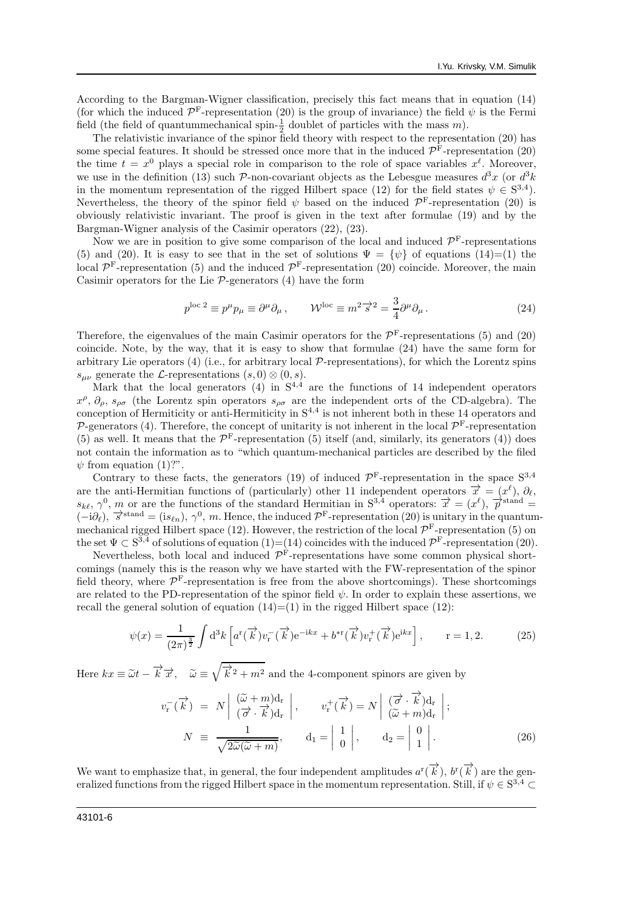According to the Bargman-Wigner classification, precisely this fact means that in equation (14) (for which the induced  $\mathcal{P}^{\text{F}}$ -representation (20) is the group of invariance) the field  $\psi$  is the Fermi field (the field of quantummechanical spin- $\frac{1}{2}$  doublet of particles with the mass m).

The relativistic invariance of the spinor field theory with respect to the representation (20) has some special features. It should be stressed once more that in the induced  $\mathcal{P}^{\text{F}}$ -representation (20) the time  $t = x^0$  plays a special role in comparison to the role of space variables  $x^{\ell}$ . Moreover, we use in the definition (13) such P-non-covariant objects as the Lebesgue measures  $d^3x$  (or  $d^3k$ in the momentum representation of the rigged Hilbert space (12) for the field states  $\psi \in S^{3,4}$ ). Nevertheless, the theory of the spinor field  $\psi$  based on the induced  $\mathcal{P}^{\text{F}}$ -representation (20) is obviously relativistic invariant. The proof is given in the text after formulae (19) and by the Bargman-Wigner analysis of the Casimir operators (22), (23).

Now we are in position to give some comparison of the local and induced  $\mathcal{P}^{\text{F}}$ -representations (5) and (20). It is easy to see that in the set of solutions  $\Psi = {\psi}$  of equations (14)=(1) the local  $\mathcal{P}^{\text{F}}$ -representation (5) and the induced  $\mathcal{P}^{\text{F}}$ -representation (20) coincide. Moreover, the main Casimir operators for the Lie  $P$ -generators (4) have the form

$$
p^{\text{loc }2} \equiv p^{\mu}p_{\mu} \equiv \partial^{\mu}\partial_{\mu}, \qquad \mathcal{W}^{\text{loc}} \equiv m^2 \vec{s}^2 = \frac{3}{4}\partial^{\mu}\partial_{\mu}. \tag{24}
$$

Therefore, the eigenvalues of the main Casimir operators for the  $\mathcal{P}^{\text{F}}$ -representations (5) and (20) coincide. Note, by the way, that it is easy to show that formulae (24) have the same form for arbitrary Lie operators  $(4)$  (i.e., for arbitrary local  $\mathcal{P}$ -representations), for which the Lorentz spins  $s_{\mu\nu}$  generate the L-representations  $(s, 0) \otimes (0, s)$ .

Mark that the local generators  $(4)$  in  $S^{4,4}$  are the functions of 14 independent operators  $x^{\rho}, \partial_{\rho}, s_{\rho\sigma}$  (the Lorentz spin operators  $s_{\rho\sigma}$  are the independent orts of the CD-algebra). The conception of Hermiticity or anti-Hermiticity in  $S^{4,4}$  is not inherent both in these 14 operators and  $\mathcal{P}$ -generators (4). Therefore, the concept of unitarity is not inherent in the local  $\mathcal{P}^{\text{F}}$ -representation (5) as well. It means that the  $\mathcal{P}^{\text{F}}$ -representation (5) itself (and, similarly, its generators (4)) does not contain the information as to "which quantum-mechanical particles are described by the filed  $\psi$  from equation (1)?".

Contrary to these facts, the generators (19) of induced  $\mathcal{P}^{\text{F}}$ -representation in the space  $S^{3,4}$ are the anti-Hermitian functions of (particularly) other 11 independent operators  $\vec{x} = (x^{\ell}), \partial_{\ell},$  $s_{k\ell}, \gamma^0, m$  or are the functions of the standard Hermitian in  $S^{3,4}$  operators:  $\vec{x} = (x^{\ell}), \vec{p}^{\text{stand}} =$  $(-i\partial_{\ell}), \vec{s}^{\text{stand}} = (is_{\ell n}), \gamma^{0}, m.$  Hence, the induced  $\mathcal{P}^{\text{F}}$ -representation (20) is unitary in the quantummechanical rigged Hilbert space (12). However, the restriction of the local  $\mathcal{P}^{\mathrm{F}}$ -representation (5) on the set  $\Psi \subset S^{3,4}$  of solutions of equation  $(1)=(14)$  coincides with the induced  $\mathcal{P}^{\text{F}}$ -representation  $(20)$ .

Nevertheless, both local and induced  $\mathcal{P}^{\text{F}}$ -representations have some common physical shortcomings (namely this is the reason why we have started with the FW-representation of the spinor field theory, where  $\mathcal{P}^{\text{F}}$ -representation is free from the above shortcomings). These shortcomings are related to the PD-representation of the spinor field  $\psi$ . In order to explain these assertions, we recall the general solution of equation  $(14)=(1)$  in the rigged Hilbert space (12):

$$
\psi(x) = \frac{1}{(2\pi)^{\frac{3}{2}}} \int d^3k \left[ a^r(\overrightarrow{k}) v_r^-(\overrightarrow{k}) e^{-ikx} + b^{*r}(\overrightarrow{k}) v_r^+(\overrightarrow{k}) e^{ikx} \right], \qquad r = 1, 2. \tag{25}
$$

Here  $kx \equiv \tilde{\omega}t - \overrightarrow{k} \overrightarrow{x}$ ,  $\tilde{\omega} \equiv \sqrt{\overrightarrow{k}^2 + m^2}$  and the 4-component spinors are given by

$$
v_{\mathbf{r}}^{-}(\overrightarrow{k}) = N \left| \begin{array}{c} (\widetilde{\omega} + m)\mathbf{d}_{\mathbf{r}} \\ (\overrightarrow{\sigma} \cdot \overrightarrow{k})\mathbf{d}_{\mathbf{r}} \end{array} \right|, \qquad v_{\mathbf{r}}^{+}(\overrightarrow{k}) = N \left| \begin{array}{c} (\overrightarrow{\sigma} \cdot \overrightarrow{k})\mathbf{d}_{\mathbf{r}} \\ (\widetilde{\omega} + m)\mathbf{d}_{\mathbf{r}} \end{array} \right|;
$$
  
\n
$$
N = \frac{1}{\sqrt{2\widetilde{\omega}(\widetilde{\omega} + m)}}, \qquad \mathbf{d}_{1} = \left| \begin{array}{c} 1 \\ 0 \end{array} \right|, \qquad \mathbf{d}_{2} = \left| \begin{array}{c} 0 \\ 1 \end{array} \right|.
$$
 (26)

We want to emphasize that, in general, the four independent amplitudes  $a^r(\overrightarrow{k})$ ,  $b^r(\overrightarrow{k})$  are the generalized functions from the rigged Hilbert space in the momentum representation. Still, if  $\psi \in S^{3,4} \subset$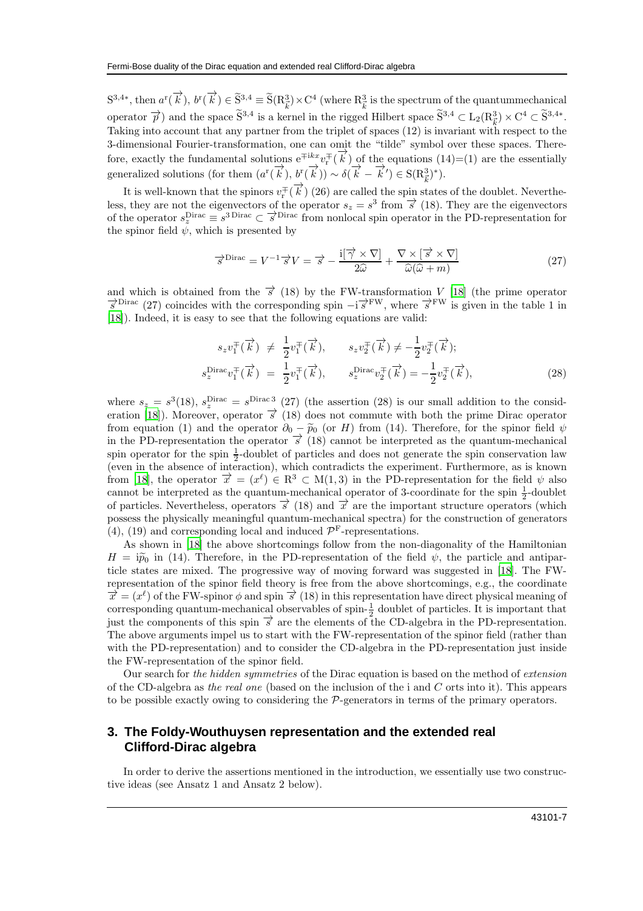$S^{3,4*}$ , then  $a^r(\overrightarrow{k})$ ,  $b^r(\overrightarrow{k}) \in \widetilde{S}^{3,4} \equiv \widetilde{S}(R_{\vec{k}}^3) \times C^4$  (where  $R_{\vec{k}}^3$  is the spectrum of the quantummechanical operator  $\vec{p}$ ) and the space  $\tilde{S}^{3,4}$  is a kernel in the rigged Hilbert space  $\tilde{S}^{3,4} \subset L_2(R^3_{\vec{k}}) \times C^4 \subset \tilde{S}^{3,4*}$ . Taking into account that any partner from the triplet of spaces (12) is invariant with respect to the 3-dimensional Fourier-transformation, one can omit the "tilde" symbol over these spaces. Therefore, exactly the fundamental solutions  $e^{\mp ikx}v^{\mp}_{r}(\vec{k})$  of the equations  $(14)=(1)$  are the essentially generalized solutions (for them  $(a^r(\vec{k}), b^r(\vec{k})) \sim \delta(\vec{k} - \vec{k}') \in S(R_{\vec{k}}^3)^*$ ).

It is well-known that the spinors  $v_r^{\pm}(\vec{k})$  (26) are called the spin states of the doublet. Nevertheless, they are not the eigenvectors of the operator  $s_z = s^3$  from  $\vec{s}$  (18). They are the eigenvectors of the operator  $s_z^{\text{Dirac}} \equiv s^{\text{3 Dirac}} \subset \overrightarrow{s}^{\text{Dirac}}$  from nonlocal spin operator in the PD-representation for the spinor field  $\psi$ , which is presented by

$$
\overrightarrow{s}^{\text{Dirac}} = V^{-1} \overrightarrow{s} V = \overrightarrow{s} - \frac{i[\overrightarrow{\gamma} \times \nabla]}{2\widehat{\omega}} + \frac{\nabla \times [\overrightarrow{s} \times \nabla]}{\widehat{\omega}(\widehat{\omega} + m)} \tag{27}
$$

and which is obtained from the  $\vec{s}$  (18) by the FW-transformation V [\[18\]](#page-14-5) (the prime operator  $\vec{s}^{\text{Dirac}}$  (27) coincides with the corresponding spin  $-i\vec{s}^{\text{FW}}$ , where  $\vec{s}^{\text{FW}}$  is given in the table 1 in [\[18\]](#page-14-5)). Indeed, it is easy to see that the following equations are valid:

$$
s_z v_1^{\pm}(\overrightarrow{k}) \neq \frac{1}{2} v_1^{\pm}(\overrightarrow{k}), \qquad s_z v_2^{\pm}(\overrightarrow{k}) \neq -\frac{1}{2} v_2^{\pm}(\overrightarrow{k});
$$
  
\n
$$
s_z^{\text{Dirac}} v_1^{\pm}(\overrightarrow{k}) = \frac{1}{2} v_1^{\pm}(\overrightarrow{k}), \qquad s_z^{\text{Dirac}} v_2^{\pm}(\overrightarrow{k}) = -\frac{1}{2} v_2^{\pm}(\overrightarrow{k}),
$$
\n(28)

where  $s_z = s^3(18)$ ,  $s_z^{\text{Dirac}} = s^{\text{Dirac}}$  (27) (the assertion (28) is our small addition to the consid-eration [\[18](#page-14-5)]). Moreover, operator  $\vec{s}$  (18) does not commute with both the prime Dirac operator from equation (1) and the operator  $\partial_0 - \tilde{p}_0$  (or H) from (14). Therefore, for the spinor field  $\psi$ in the PD-representation the operator  $\overrightarrow{s}$  (18) cannot be interpreted as the quantum-mechanical spin operator for the spin  $\frac{1}{2}$ -doublet of particles and does not generate the spin conservation law (even in the absence of interaction), which contradicts the experiment. Furthermore, as is known from [\[18](#page-14-5)], the operator  $\vec{x} = (x^{\ell}) \in \mathbb{R}^3 \subset M(1,3)$  in the PD-representation for the field  $\psi$  also cannot be interpreted as the quantum-mechanical operator of 3-coordinate for the spin  $\frac{1}{2}$ -doublet of particles. Nevertheless, operators  $\vec{\sigma}$  (18) and  $\vec{\tau}$  are the important structure operators (which possess the physically meaningful quantum-mechanical spectra) for the construction of generators (4), (19) and corresponding local and induced  $\mathcal{P}^{\rm F}\!$  -representations.

As shown in [\[18\]](#page-14-5) the above shortcomings follow from the non-diagonality of the Hamiltonian  $H = i\tilde{p}_0$  in (14). Therefore, in the PD-representation of the field  $\psi$ , the particle and antiparticle states are mixed. The progressive way of moving forward was suggested in [\[18](#page-14-5)]. The FWrepresentation of the spinor field theory is free from the above shortcomings, e.g., the coordinate  $\vec{x} = (x^{\ell})$  of the FW-spinor  $\phi$  and spin  $\vec{s}$  (18) in this representation have direct physical meaning of corresponding quantum-mechanical observables of spin- $\frac{1}{2}$  doublet of particles. It is important that just the components of this spin  $\vec{s}$  are the elements of the CD-algebra in the PD-representation. The above arguments impel us to start with the FW-representation of the spinor field (rather than with the PD-representation) and to consider the CD-algebra in the PD-representation just inside the FW-representation of the spinor field.

Our search for the hidden symmetries of the Dirac equation is based on the method of extension of the CD-algebra as the real one (based on the inclusion of the i and  $C$  orts into it). This appears to be possible exactly owing to considering the P-generators in terms of the primary operators.

# **3. The Foldy-Wouthuysen representation and the extended real Clifford-Dirac algebra**

In order to derive the assertions mentioned in the introduction, we essentially use two constructive ideas (see Ansatz 1 and Ansatz 2 below).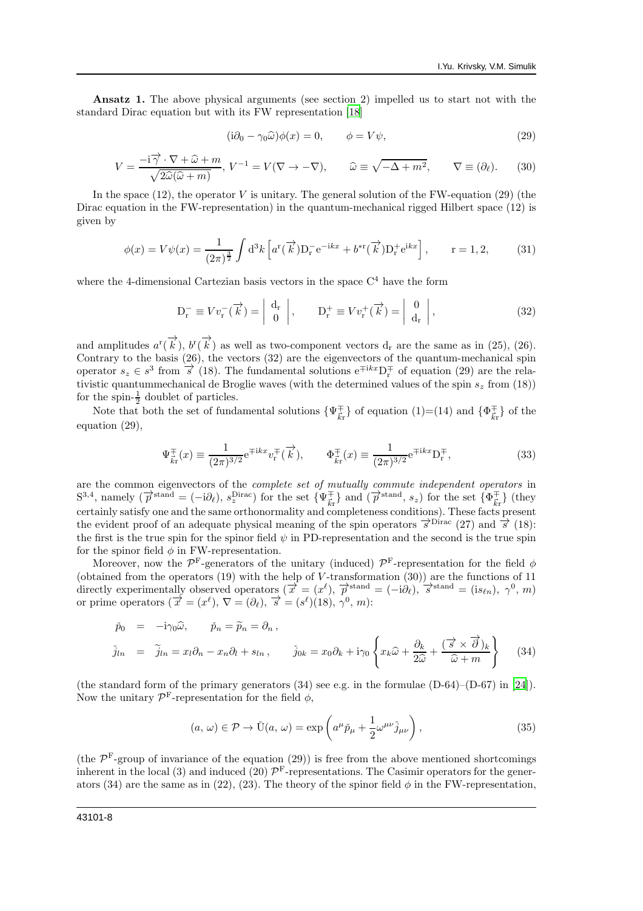Ansatz 1. The above physical arguments (see section 2) impelled us to start not with the standard Dirac equation but with its FW representation [\[18\]](#page-14-5)

$$
(\mathrm{i}\partial_0 - \gamma_0 \widehat{\omega})\phi(x) = 0, \qquad \phi = V\psi,
$$
\n(29)

$$
V = \frac{-i\vec{\gamma} \cdot \nabla + \hat{\omega} + m}{\sqrt{2\hat{\omega}(\hat{\omega} + m)}}, \quad V^{-1} = V(\nabla \to -\nabla), \qquad \hat{\omega} \equiv \sqrt{-\Delta + m^2}, \qquad \nabla \equiv (\partial_{\ell}). \tag{30}
$$

In the space  $(12)$ , the operator V is unitary. The general solution of the FW-equation  $(29)$  (the Dirac equation in the FW-representation) in the quantum-mechanical rigged Hilbert space (12) is given by

$$
\phi(x) = V\psi(x) = \frac{1}{(2\pi)^{\frac{3}{2}}} \int d^3k \left[ a^r(\overrightarrow{k}) \mathcal{D}_r^- e^{-ikx} + b^{*r}(\overrightarrow{k}) \mathcal{D}_r^+ e^{ikx} \right], \qquad r = 1, 2,
$$
 (31)

where the 4-dimensional Cartezian basis vectors in the space  $C<sup>4</sup>$  have the form

$$
\mathbf{D}_{\mathbf{r}}^{-} \equiv Vv_{\mathbf{r}}^{-}(\overrightarrow{k}) = \begin{vmatrix} \mathbf{d}_{\mathbf{r}} \\ 0 \end{vmatrix}, \qquad \mathbf{D}_{\mathbf{r}}^{+} \equiv Vv_{\mathbf{r}}^{+}(\overrightarrow{k}) = \begin{vmatrix} 0 \\ \mathbf{d}_{\mathbf{r}} \end{vmatrix}, \tag{32}
$$

and amplitudes  $a^r(\vec{k})$ ,  $b^r(\vec{k})$  as well as two-component vectors  $d_r$  are the same as in (25), (26). Contrary to the basis  $(26)$ , the vectors  $(32)$  are the eigenvectors of the quantum-mechanical spin operator  $s_z \in s^3$  from  $\vec{s}$  (18). The fundamental solutions  $e^{\mp ikx}D_r^{\mp}$  of equation (29) are the relativistic quantummechanical de Broglie waves (with the determined values of the spin  $s_z$  from (18)) for the spin- $\frac{1}{2}$  doublet of particles.

Note that both the set of fundamental solutions  $\{\Psi_{\vec{k}\vec{r}}^{\pm}\}\$  of equation (1)=(14) and  $\{\Phi_{\vec{k}\vec{r}}^{\pm}\}\$  of the equation (29),

$$
\Psi_{\vec{k}\mathbf{r}}^{\mp}(x) \equiv \frac{1}{(2\pi)^{3/2}} e^{\mp ikx} v_{\mathbf{r}}^{\mp}(\vec{k}), \qquad \Phi_{\vec{k}\mathbf{r}}^{\mp}(x) \equiv \frac{1}{(2\pi)^{3/2}} e^{\mp ikx} D_{\mathbf{r}}^{\mp}, \tag{33}
$$

are the common eigenvectors of the *complete set of mutually commute independent operators* in  $S^{3,4}$ , namely  $(\overrightarrow{p}^{\text{stand}} = (-i\partial_{\ell}), s_z^{\text{Dirac}})$  for the set  $\{\Psi_{\vec{k}\r}^{\pm}\}\$  and  $(\overrightarrow{p}^{\text{stand}}, s_z)$  for the set  $\{\Phi_{\vec{k}\r}^{\pm}\}\$  (they certainly satisfy one and the same orthonormality and completeness conditions). These facts present the evident proof of an adequate physical meaning of the spin operators  $\vec{\sigma}^{\text{Dirac}}$  (27) and  $\vec{\sigma}$  (18): the first is the true spin for the spinor field  $\psi$  in PD-representation and the second is the true spin for the spinor field  $\phi$  in FW-representation.

Moreover, now the  $\mathcal{P}^{\text{F}}$ -generators of the unitary (induced)  $\mathcal{P}^{\text{F}}$ -representation for the field  $\phi$ (obtained from the operators  $(19)$  with the help of V-transformation  $(30)$ ) are the functions of 11 directly experimentally observed operators  $(\vec{x} = (x^{\ell}), \vec{p}^{\text{stand}} = (-i\partial_{\ell}), \vec{s}^{\text{stand}} = (is_{\ell n}), \gamma^{0}, m)$ or prime operators  $(\vec{x} = (x^{\ell}), \nabla = (\partial_{\ell}), \vec{s} = (s^{\ell})(18), \gamma^{0}, m)$ :

$$
\check{p}_0 = -i\gamma_0 \hat{\omega}, \quad \check{p}_n = \widetilde{p}_n = \partial_n ,
$$
\n
$$
\check{j}_{ln} = \widetilde{j}_{ln} = x_l \partial_n - x_n \partial_l + s_{ln} , \quad \check{j}_{0k} = x_0 \partial_k + i\gamma_0 \left\{ x_k \hat{\omega} + \frac{\partial_k}{2\hat{\omega}} + \frac{(\vec{\sigma} \times \vec{\partial})_k}{\hat{\omega} + m} \right\} \quad (34)
$$

(the standard form of the primary generators (34) see e.g. in the formulae (D-64)–(D-67) in [\[24\]](#page-14-11)). Now the unitary  $\mathcal{P}^{\text{F}}$ -representation for the field  $\phi$ ,

$$
(a,\,\omega)\in\mathcal{P}\to\check{\mathrm{U}}(a,\,\omega)=\exp\left(a^{\mu}\check{p}_{\mu}+\frac{1}{2}\omega^{\mu\nu}\check{j}_{\mu\nu}\right),\qquad(35)
$$

(the  $\mathcal{P}^{\text{F}}$ -group of invariance of the equation (29)) is free from the above mentioned shortcomings inherent in the local (3) and induced (20)  $\mathcal{P}^{\text{F}}$ -representations. The Casimir operators for the generators (34) are the same as in (22), (23). The theory of the spinor field  $\phi$  in the FW-representation,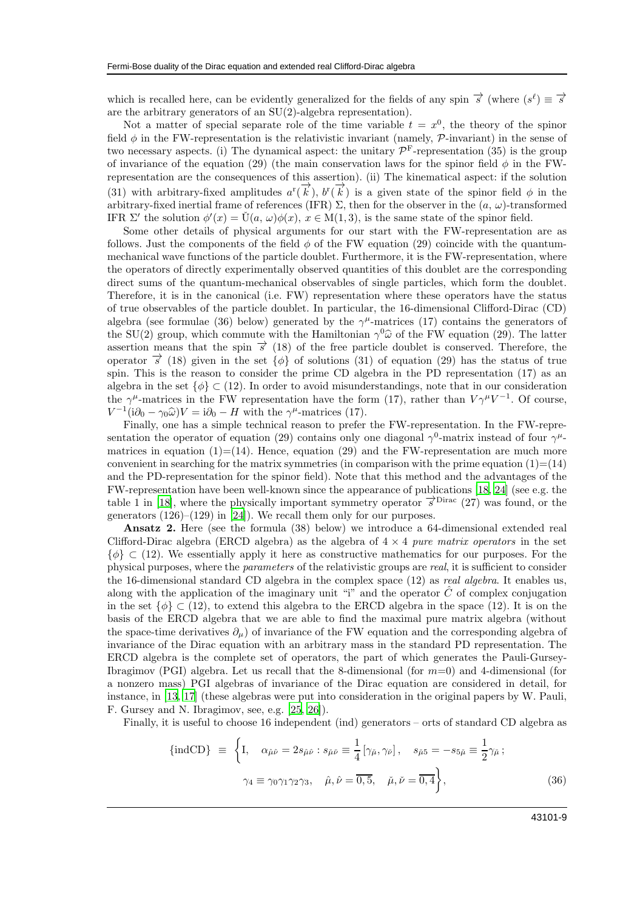which is recalled here, can be evidently generalized for the fields of any spin  $\vec{s}$  (where  $(s^{\ell}) \equiv \vec{s}$ ) are the arbitrary generators of an SU(2)-algebra representation).

Not a matter of special separate role of the time variable  $t = x<sup>0</sup>$ , the theory of the spinor field  $\phi$  in the FW-representation is the relativistic invariant (namely,  $\mathcal{P}\text{-invariant}$ ) in the sense of two necessary aspects. (i) The dynamical aspect: the unitary  $\mathcal{P}^{\text{F}}$ -representation (35) is the group of invariance of the equation (29) (the main conservation laws for the spinor field  $\phi$  in the FWrepresentation are the consequences of this assertion). (ii) The kinematical aspect: if the solution (31) with arbitrary-fixed amplitudes  $a^r(\vec{k})$ ,  $b^r(\vec{k})$  is a given state of the spinor field  $\phi$  in the arbitrary-fixed inertial frame of references (IFR)  $\Sigma$ , then for the observer in the  $(a, \omega)$ -transformed IFR  $\Sigma'$  the solution  $\phi'(x) = \check{U}(a, \omega)\phi(x), x \in M(1, 3)$ , is the same state of the spinor field.

Some other details of physical arguments for our start with the FW-representation are as follows. Just the components of the field  $\phi$  of the FW equation (29) coincide with the quantummechanical wave functions of the particle doublet. Furthermore, it is the FW-representation, where the operators of directly experimentally observed quantities of this doublet are the corresponding direct sums of the quantum-mechanical observables of single particles, which form the doublet. Therefore, it is in the canonical (i.e. FW) representation where these operators have the status of true observables of the particle doublet. In particular, the 16-dimensional Clifford-Dirac (CD) algebra (see formulae (36) below) generated by the  $\gamma^{\mu}$ -matrices (17) contains the generators of the SU(2) group, which commute with the Hamiltonian  $\gamma^0 \hat{\omega}$  of the FW equation (29). The latter assertion means that the spin  $\vec{\sigma}$  (18) of the free particle doublet is conserved. Therefore, the operator  $\vec{s}$  (18) given in the set  $\{\phi\}$  of solutions (31) of equation (29) has the status of true spin. This is the reason to consider the prime CD algebra in the PD representation (17) as an algebra in the set  $\{\phi\} \subset (12)$ . In order to avoid misunderstandings, note that in our consideration the  $\gamma^{\mu}$ -matrices in the FW representation have the form (17), rather than  $V\gamma^{\mu}V^{-1}$ . Of course,  $V^{-1}(\mathrm{i}\partial_0 - \gamma_0\hat{\omega})V = \mathrm{i}\partial_0 - H$  with the  $\gamma^{\mu}$ -matrices (17).

Finally, one has a simple technical reason to prefer the FW-representation. In the FW-representation the operator of equation (29) contains only one diagonal  $\gamma^0$ -matrix instead of four  $\gamma^{\mu}$ matrices in equation  $(1)=(14)$ . Hence, equation  $(29)$  and the FW-representation are much more convenient in searching for the matrix symmetries (in comparison with the prime equation  $(1)=(14)$ ) and the PD-representation for the spinor field). Note that this method and the advantages of the FW-representation have been well-known since the appearance of publications [\[18](#page-14-5), [24\]](#page-14-11) (see e.g. the table 1 in [\[18\]](#page-14-5), where the physically important symmetry operator  $\vec{s}^{\text{Dirac}}$  (27) was found, or the generators  $(126)$ – $(129)$  in [\[24\]](#page-14-11)). We recall them only for our purposes.

Ansatz 2. Here (see the formula (38) below) we introduce a 64-dimensional extended real Clifford-Dirac algebra (ERCD algebra) as the algebra of  $4 \times 4$  pure matrix operators in the set  $\{\phi\} \subset (12)$ . We essentially apply it here as constructive mathematics for our purposes. For the physical purposes, where the parameters of the relativistic groups are real, it is sufficient to consider the 16-dimensional standard CD algebra in the complex space (12) as real algebra. It enables us, along with the application of the imaginary unit "i" and the operator  $\hat{C}$  of complex conjugation in the set  $\{\phi\} \subset (12)$ , to extend this algebra to the ERCD algebra in the space (12). It is on the basis of the ERCD algebra that we are able to find the maximal pure matrix algebra (without the space-time derivatives  $\partial_{\mu}$ ) of invariance of the FW equation and the corresponding algebra of invariance of the Dirac equation with an arbitrary mass in the standard PD representation. The ERCD algebra is the complete set of operators, the part of which generates the Pauli-Gursey-Ibragimov (PGI) algebra. Let us recall that the 8-dimensional (for  $m=0$ ) and 4-dimensional (for a nonzero mass) PGI algebras of invariance of the Dirac equation are considered in detail, for instance, in [\[13,](#page-14-12) [17](#page-14-4)] (these algebras were put into consideration in the original papers by W. Pauli, F. Gursey and N. Ibragimov, see, e.g. [\[25,](#page-14-13) [26\]](#page-14-14)).

Finally, it is useful to choose 16 independent (ind) generators – orts of standard CD algebra as

$$
\{\text{indCD}\}\ \equiv\ \left\{\mathbf{I},\quad \alpha_{\hat{\mu}\hat{\nu}}=2s_{\hat{\mu}\hat{\nu}}:s_{\check{\mu}\check{\nu}}\equiv\frac{1}{4}\left[\gamma_{\check{\mu}},\gamma_{\check{\nu}}\right],\quad s_{\check{\mu}5}=-s_{5\check{\mu}}\equiv\frac{1}{2}\gamma_{\check{\mu}}\,;
$$
\n
$$
\gamma_4\equiv\gamma_0\gamma_1\gamma_2\gamma_3,\quad \hat{\mu},\hat{\nu}=\overline{0,\overline{5}},\quad \check{\mu},\check{\nu}=\overline{0,\overline{4}}\right\},\tag{36}
$$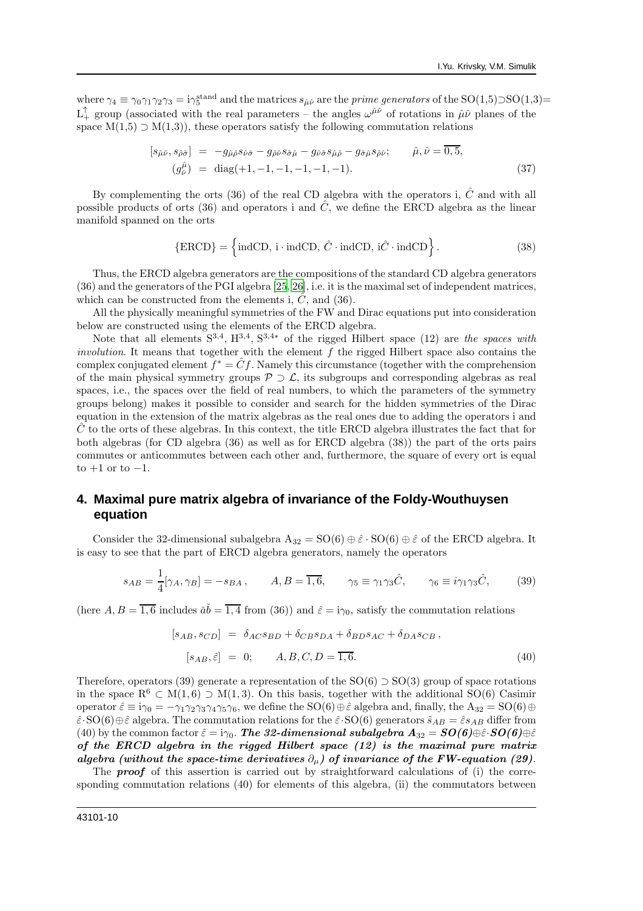where  $\gamma_4 \equiv \gamma_0 \gamma_1 \gamma_2 \gamma_3 = i \gamma_5^{\text{stand}}$  and the matrices  $s_{\hat{\mu}\hat{\nu}}$  are the *prime generators* of the SO(1,5) $\supset$ SO(1,3)=  $L_+^{\uparrow}$  group (associated with the real parameters – the angles  $\omega^{\hat{\mu}\hat{\nu}}$  of rotations in  $\hat{\mu}\hat{\nu}$  planes of the space  $M(1,5) \supset M(1,3)$ , these operators satisfy the following commutation relations

$$
[s_{\hat{\mu}\hat{\nu}}, s_{\hat{\rho}\hat{\sigma}}] = -g_{\hat{\mu}\hat{\rho}}s_{\hat{\nu}\hat{\sigma}} - g_{\hat{\rho}\hat{\nu}}s_{\hat{\sigma}\hat{\mu}} - g_{\hat{\nu}\hat{\sigma}}s_{\hat{\mu}\hat{\rho}} - g_{\hat{\sigma}\hat{\mu}}s_{\hat{\rho}\hat{\nu}}; \qquad \hat{\mu}, \hat{\nu} = \overline{0, 5},
$$
  

$$
(g_{\hat{\nu}}^{\hat{\mu}}) = \text{diag}(+1, -1, -1, -1, -1, -1).
$$
 (37)

By complementing the orts (36) of the real CD algebra with the operators i,  $\hat{C}$  and with all possible products of orts (36) and operators i and  $\hat{C}$ , we define the ERCD algebra as the linear manifold spanned on the orts

$$
\{ERCD\} = \left\{\text{indCD}, \, \text{i} \cdot \text{indCD}, \, \hat{C} \cdot \text{indCD}, \, \text{i}\hat{C} \cdot \text{indCD}\right\}.
$$
 (38)

Thus, the ERCD algebra generators are the compositions of the standard CD algebra generators (36) and the generators of the PGI algebra [\[25,](#page-14-13) [26\]](#page-14-14), i.e. it is the maximal set of independent matrices, which can be constructed from the elements i,  $\ddot{C}$ , and (36).

All the physically meaningful symmetries of the FW and Dirac equations put into consideration below are constructed using the elements of the ERCD algebra.

Note that all elements  $S^{3,4}$ ,  $H^{3,4}$ ,  $S^{3,4*}$  of the rigged Hilbert space (12) are the spaces with involution. It means that together with the element  $f$  the rigged Hilbert space also contains the complex conjugated element  $f^* = \hat{C}f$ . Namely this circumstance (together with the comprehension of the main physical symmetry groups  $P \supset \mathcal{L}$ , its subgroups and corresponding algebras as real spaces, i.e., the spaces over the field of real numbers, to which the parameters of the symmetry groups belong) makes it possible to consider and search for the hidden symmetries of the Dirac equation in the extension of the matrix algebras as the real ones due to adding the operators i and  $C$  to the orts of these algebras. In this context, the title ERCD algebra illustrates the fact that for both algebras (for CD algebra (36) as well as for ERCD algebra (38)) the part of the orts pairs commutes or anticommutes between each other and, furthermore, the square of every ort is equal to  $+1$  or to  $-1$ .

# **4. Maximal pure matrix algebra of invariance of the Foldy-Wouthuysen equation**

Consider the 32-dimensional subalgebra  $A_{32} = SO(6) \oplus \hat{\varepsilon} \cdot SO(6) \oplus \hat{\varepsilon}$  of the ERCD algebra. It is easy to see that the part of ERCD algebra generators, namely the operators

$$
s_{AB} = \frac{1}{4} [\gamma_A, \gamma_B] = -s_{BA}, \qquad A, B = \overline{1, 6}, \qquad \gamma_5 \equiv \gamma_1 \gamma_3 \hat{C}, \qquad \gamma_6 \equiv i \gamma_1 \gamma_3 \hat{C}, \qquad (39)
$$

(here  $A, B = \overline{1, 6}$  includes  $\check{a}\check{b} = \overline{1, 4}$  from (36)) and  $\hat{\varepsilon} = i\gamma_0$ , satisfy the commutation relations

$$
[s_{AB}, s_{CD}] = \delta_{AC}s_{BD} + \delta_{CB}s_{DA} + \delta_{BD}s_{AC} + \delta_{DA}s_{CB},
$$
  

$$
[s_{AB}, \hat{\varepsilon}] = 0; \qquad A, B, C, D = \overline{1, 6}.
$$
 (40)

Therefore, operators (39) generate a representation of the  $SO(6) \supset SO(3)$  group of space rotations in the space  $R^6 \subset M(1,6) \supset M(1,3)$ . On this basis, together with the additional SO(6) Casimir operator  $\hat{\epsilon} \equiv i\gamma_0 = -\gamma_1\gamma_2\gamma_3\gamma_4\gamma_5\gamma_6$ , we define the SO(6)  $\oplus \hat{\epsilon}$  algebra and, finally, the A<sub>32</sub> = SO(6)  $\oplus$  $\hat{\varepsilon}$ ·SO(6) $\oplus \hat{\varepsilon}$  algebra. The commutation relations for the  $\hat{\varepsilon}$ ·SO(6) generators  $\tilde{s}_{AB} = \hat{\varepsilon} s_{AB}$  differ from (40) by the common factor  $\hat{\varepsilon} = i\gamma_0$ . The 32-dimensional subalgebra  $A_{32} = SO(6) \oplus \hat{\varepsilon} \cdot SO(6) \oplus \hat{\varepsilon}$ of the ERCD algebra in the rigged Hilbert space (12) is the maximal pure matrix algebra (without the space-time derivatives  $\partial_{\mu}$ ) of invariance of the FW-equation (29).

The **proof** of this assertion is carried out by straightforward calculations of (i) the corresponding commutation relations (40) for elements of this algebra, (ii) the commutators between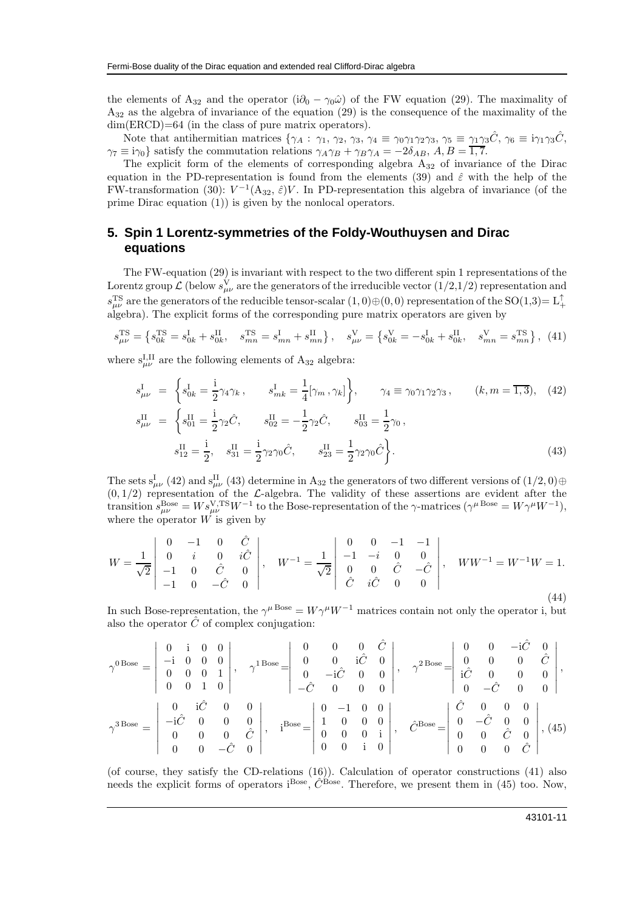the elements of A<sub>32</sub> and the operator (i $\partial_0 - \gamma_0 \hat{\omega}$ ) of the FW equation (29). The maximality of A<sup>32</sup> as the algebra of invariance of the equation (29) is the consequence of the maximality of the dim(ERCD)=64 (in the class of pure matrix operators).

Note that antihermitian matrices  $\{\gamma_A : \gamma_1, \gamma_2, \gamma_3, \gamma_4 \equiv \gamma_0 \gamma_1 \gamma_2 \gamma_3, \gamma_5 \equiv \gamma_1 \gamma_3 \hat{C}, \gamma_6 \equiv i \gamma_1 \gamma_3 \hat{C},$  $\gamma_7 \equiv i\gamma_0$ } satisfy the commutation relations  $\gamma_A \gamma_B + \gamma_B \gamma_A = -2\delta_{AB}$ ,  $A, B = 1, 7$ .

The explicit form of the elements of corresponding algebra  $A_{32}$  of invariance of the Dirac equation in the PD-representation is found from the elements (39) and  $\hat{\varepsilon}$  with the help of the FW-transformation (30):  $V^{-1}(\mathcal{A}_{32}, \hat{\varepsilon})V$ . In PD-representation this algebra of invariance (of the prime Dirac equation (1)) is given by the nonlocal operators.

## **5. Spin 1 Lorentz-symmetries of the Foldy-Wouthuysen and Dirac equations**

The FW-equation (29) is invariant with respect to the two different spin 1 representations of the Lorentz group  $\mathcal L$  (below  $s_{\mu\nu}^V$  are the generators of the irreducible vector  $(1/2,1/2)$  representation and  $s_{\mu\nu}^{TS}$  are the generators of the reducible tensor-scalar  $(1,0) \oplus (0,0)$  representation of the SO(1,3)=  $L_+^{\uparrow}$ algebra). The explicit forms of the corresponding pure matrix operators are given by

$$
s_{\mu\nu}^{\text{TS}} = \left\{ s_{0k}^{\text{TS}} = s_{0k}^{\text{I}} + s_{0k}^{\text{II}}, \quad s_{mn}^{\text{TS}} = s_{mn}^{\text{I}} + s_{mn}^{\text{II}} \right\}, \quad s_{\mu\nu}^{\text{V}} = \left\{ s_{0k}^{\text{V}} = -s_{0k}^{\text{I}} + s_{0k}^{\text{II}}, \quad s_{mn}^{\text{V}} = s_{mn}^{\text{TS}} \right\}, \tag{41}
$$

where  $s_{\mu\nu}^{\text{I,II}}$  are the following elements of  $A_{32}$  algebra:

$$
s_{\mu\nu}^{\text{I}} = \begin{cases} s_{0k}^{\text{I}} = \frac{i}{2} \gamma_4 \gamma_k, & s_{mk}^{\text{I}} = \frac{1}{4} [\gamma_m, \gamma_k] \end{cases}, \quad \gamma_4 \equiv \gamma_0 \gamma_1 \gamma_2 \gamma_3, \quad (k, m = \overline{1, 3}), \quad (42)
$$
  
\n
$$
s_{\mu\nu}^{\text{II}} = \begin{cases} s_{01}^{\text{II}} = \frac{i}{2} \gamma_2 \hat{C}, & s_{02}^{\text{II}} = -\frac{1}{2} \gamma_2 \hat{C}, & s_{03}^{\text{II}} = \frac{1}{2} \gamma_0, \\ s_{12}^{\text{II}} = \frac{i}{2}, & s_{31}^{\text{II}} = \frac{i}{2} \gamma_2 \gamma_0 \hat{C}, & s_{23}^{\text{II}} = \frac{1}{2} \gamma_2 \gamma_0 \hat{C} \end{cases}.
$$
\n
$$
(43)
$$

The sets  $s^I_{\mu\nu}$  (42) and  $s^{II}_{\mu\nu}$  (43) determine in A<sub>32</sub> the generators of two different versions of  $(1/2,0) \oplus$  $(0, 1/2)$  representation of the L-algebra. The validity of these assertions are evident after the transition  $s_{\mu\nu}^{\text{Bose}} = W s_{\mu\nu}^{\text{V,TS}} W^{-1}$  to the Bose-representation of the  $\gamma$ -matrices  $(\gamma^{\mu \text{ Bose}} = W \gamma^{\mu} W^{-1})$ , where the operator  $W$  is given by

$$
W = \frac{1}{\sqrt{2}} \begin{vmatrix} 0 & -1 & 0 & \hat{C} \\ 0 & i & 0 & i\hat{C} \\ -1 & 0 & \hat{C} & 0 \\ -1 & 0 & -\hat{C} & 0 \end{vmatrix}, \quad W^{-1} = \frac{1}{\sqrt{2}} \begin{vmatrix} 0 & 0 & -1 & -1 \\ -1 & -i & 0 & 0 \\ 0 & 0 & \hat{C} & -\hat{C} \\ \hat{C} & i\hat{C} & 0 & 0 \end{vmatrix}, \quad WW^{-1} = W^{-1}W = 1.
$$
\n(44)

In such Bose-representation, the  $\gamma^{\mu \text{Bose}} = W \gamma^{\mu} W^{-1}$  matrices contain not only the operator i, but also the operator  $\hat{C}$  of complex conjugation:

$$
\gamma^{0\text{Bose}} = \begin{vmatrix} 0 & i & 0 & 0 \\ -i & 0 & 0 & 0 \\ 0 & 0 & 0 & 1 \\ 0 & 0 & 1 & 0 \end{vmatrix}, \quad \gamma^{1\text{Bose}} = \begin{vmatrix} 0 & 0 & 0 & \hat{C} \\ 0 & 0 & i\hat{C} & 0 \\ 0 & -i\hat{C} & 0 & 0 \\ -\hat{C} & 0 & 0 & 0 \end{vmatrix}, \quad \gamma^{2\text{Bose}} = \begin{vmatrix} 0 & 0 & -i\hat{C} & 0 \\ 0 & 0 & 0 & \hat{C} \\ i\hat{C} & 0 & 0 & 0 \\ 0 & -\hat{C} & 0 & 0 \end{vmatrix},
$$
\n
$$
\gamma^{3\text{Bose}} = \begin{vmatrix} 0 & i\hat{C} & 0 & 0 \\ -i\hat{C} & 0 & 0 & 0 \\ 0 & 0 & 0 & \hat{C} \\ 0 & 0 & -\hat{C} & 0 \end{vmatrix}, \quad i^{\text{Bose}} = \begin{vmatrix} 0 & -1 & 0 & 0 \\ 1 & 0 & 0 & 0 \\ 0 & 0 & 0 & i \\ 0 & 0 & i & 0 \end{vmatrix}, \quad \hat{C}^{\text{Bose}} = \begin{vmatrix} \hat{C} & 0 & 0 & 0 \\ 0 & -\hat{C} & 0 & 0 \\ 0 & 0 & \hat{C} & 0 \\ 0 & 0 & 0 & \hat{C} \end{vmatrix}, (45)
$$

(of course, they satisfy the CD-relations (16)). Calculation of operator constructions (41) also needs the explicit forms of operators i<sup>Bose</sup>,  $\hat{C}^{Bose}$ . Therefore, we present them in (45) too. Now,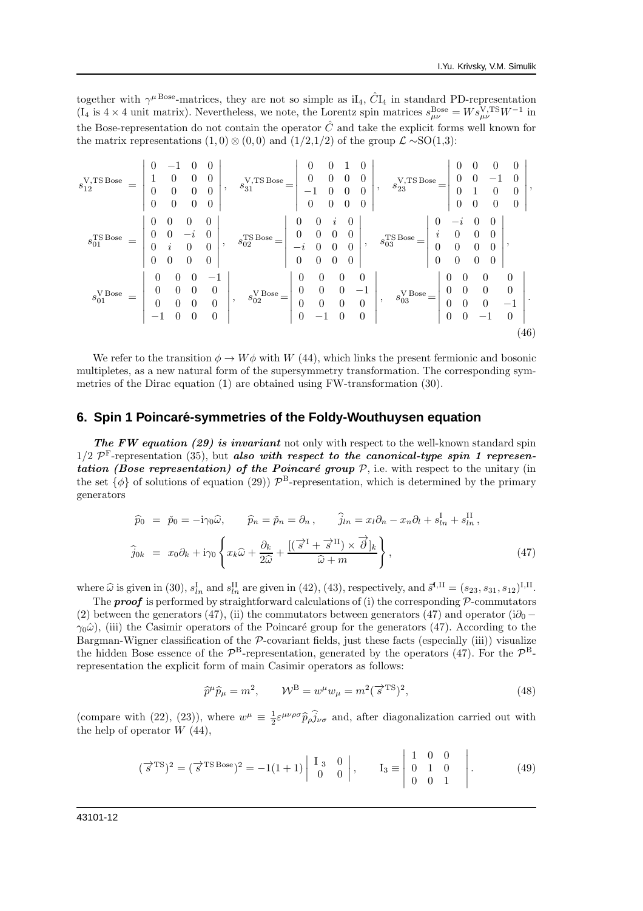together with  $\gamma^{\mu \text{ Bose}}$ -matrices, they are not so simple as iI<sub>4</sub>,  $\hat{C}I_4$  in standard PD-representation (I<sub>4</sub> is  $4 \times 4$  unit matrix). Nevertheless, we note, the Lorentz spin matrices  $s_{\mu\nu}^{\text{Bose}} = W s_{\mu\nu}^{\text{V,TS}} W^{-1}$  in the Bose-representation do not contain the operator  $\hat{C}$  and take the explicit forms well known for the matrix representations  $(1,0) \otimes (0,0)$  and  $(1/2,1/2)$  of the group  $\mathcal{L} \sim SO(1,3)$ :

$$
s_{12}^{\text{V,TS Bose}} = \begin{vmatrix} 0 & -1 & 0 & 0 \\ 1 & 0 & 0 & 0 \\ 0 & 0 & 0 & 0 \\ 0 & 0 & 0 & 0 \end{vmatrix}, \quad s_{31}^{\text{V,TS Bose}} = \begin{vmatrix} 0 & 0 & 1 & 0 \\ 0 & 0 & 0 & 0 \\ -1 & 0 & 0 & 0 \\ 0 & 0 & 0 & 0 \end{vmatrix}, \quad s_{23}^{\text{V,TS Bose}} = \begin{vmatrix} 0 & 0 & 0 & 0 \\ 0 & 0 & -1 & 0 \\ 0 & 1 & 0 & 0 \\ 0 & 0 & 0 & 0 \end{vmatrix},
$$
  
\n
$$
s_{01}^{\text{TS Bose}} = \begin{vmatrix} 0 & 0 & 0 & 0 \\ 0 & 0 & -i & 0 \\ 0 & i & 0 & 0 \\ 0 & 0 & 0 & 0 \end{vmatrix}, \quad s_{02}^{\text{TS Bose}} = \begin{vmatrix} 0 & 0 & i & 0 \\ 0 & 0 & 0 & 0 \\ -i & 0 & 0 & 0 \\ 0 & 0 & 0 & 0 \end{vmatrix}, \quad s_{03}^{\text{TS Bose}} = \begin{vmatrix} 0 & -i & 0 & 0 \\ 0 & -i & 0 & 0 \\ 0 & 0 & 0 & 0 \\ 0 & 0 & 0 & 0 \end{vmatrix},
$$
  
\n
$$
s_{01}^{\text{VBose}} = \begin{vmatrix} 0 & 0 & 0 & -1 \\ 0 & 0 & 0 & 0 \\ 0 & 0 & 0 & 0 \\ -1 & 0 & 0 & 0 \end{vmatrix}, \quad s_{02}^{\text{VBose}} = \begin{vmatrix} 0 & 0 & 0 & 0 \\ 0 & 0 & 0 & -1 \\ 0 & 0 & 0 & 0 \\ 0 & -1 & 0 & 0 \end{vmatrix}, \quad s_{03}^{\text{VBose}} = \begin{vmatrix} 0 & 0 & 0 & 0 \\ 0 & 0 & 0 & 0 \\ 0 & 0 & -1 & 0 \\ 0 & 0 & -1 & 0 \end{vmatrix}.
$$
  
\n(46)

We refer to the transition  $\phi \to W\phi$  with W (44), which links the present fermionic and bosonic multipletes, as a new natural form of the supersymmetry transformation. The corresponding symmetries of the Dirac equation (1) are obtained using FW-transformation (30).

### **6. Spin 1 Poincare-symmetries of the Foldy-Wouthuysen equation ´**

The FW equation (29) is invariant not only with respect to the well-known standard spin  $1/2$   $\mathcal{P}^{\text{F}}$ -representation (35), but also with respect to the canonical-type spin 1 representation (Bose representation) of the Poincaré group  $P$ , i.e. with respect to the unitary (in the set  $\{\phi\}$  of solutions of equation (29))  $\mathcal{P}^{\text{B}}$ -representation, which is determined by the primary generators

$$
\widehat{p}_0 = \check{p}_0 = -i\gamma_0 \widehat{\omega}, \qquad \widehat{p}_n = \check{p}_n = \partial_n, \qquad \widehat{j}_{ln} = x_l \partial_n - x_n \partial_l + s_{ln}^{\mathrm{I}} + s_{ln}^{\mathrm{II}},
$$
  

$$
\widehat{j}_{0k} = x_0 \partial_k + i\gamma_0 \left\{ x_k \widehat{\omega} + \frac{\partial_k}{2\widehat{\omega}} + \frac{[(\overrightarrow{s}^{\mathrm{I}} + \overrightarrow{s}^{\mathrm{II}}) \times \overrightarrow{\partial}]_k}{\widehat{\omega} + m} \right\},
$$
\n(47)

where  $\hat{\omega}$  is given in (30),  $s_{ln}^{\text{I}}$  and  $s_{ln}^{\text{II}}$  are given in (42), (43), respectively, and  $\vec{s}^{\text{I,II}} = (s_{23}, s_{31}, s_{12})^{\text{I,II}}$ .

The **proof** is performed by straightforward calculations of (i) the corresponding  $\mathcal{P}$ -commutators (2) between the generators (47), (ii) the commutators between generators (47) and operator (i $\partial_0$  –  $\gamma_0\hat{\omega}$ ), (iii) the Casimir operators of the Poincaré group for the generators (47). According to the Bargman-Wigner classification of the  $P$ -covariant fields, just these facts (especially (iii)) visualize the hidden Bose essence of the  $\mathcal{P}^{\text{B}}$ -representation, generated by the operators (47). For the  $\mathcal{P}^{\text{B}}$ representation the explicit form of main Casimir operators as follows:

$$
\widehat{p}^{\mu}\widehat{p}_{\mu} = m^2, \qquad \mathcal{W}^{\text{B}} = w^{\mu}w_{\mu} = m^2(\overrightarrow{s}^{\text{TS}})^2,\tag{48}
$$

(compare with (22), (23)), where  $w^{\mu} \equiv \frac{1}{2} \varepsilon^{\mu\nu\rho\sigma} \widehat{p}_{\rho} \widehat{j}_{\nu\sigma}$  and, after diagonalization carried out with the help of operator  $W(44)$ ,

$$
(\vec{s}^{TS})^2 = (\vec{s}^{TSBose})^2 = -1(1+1) \begin{vmatrix} I_3 & 0 \\ 0 & 0 \end{vmatrix}, I_3 \equiv \begin{vmatrix} 1 & 0 & 0 \\ 0 & 1 & 0 \\ 0 & 0 & 1 \end{vmatrix}.
$$
 (49)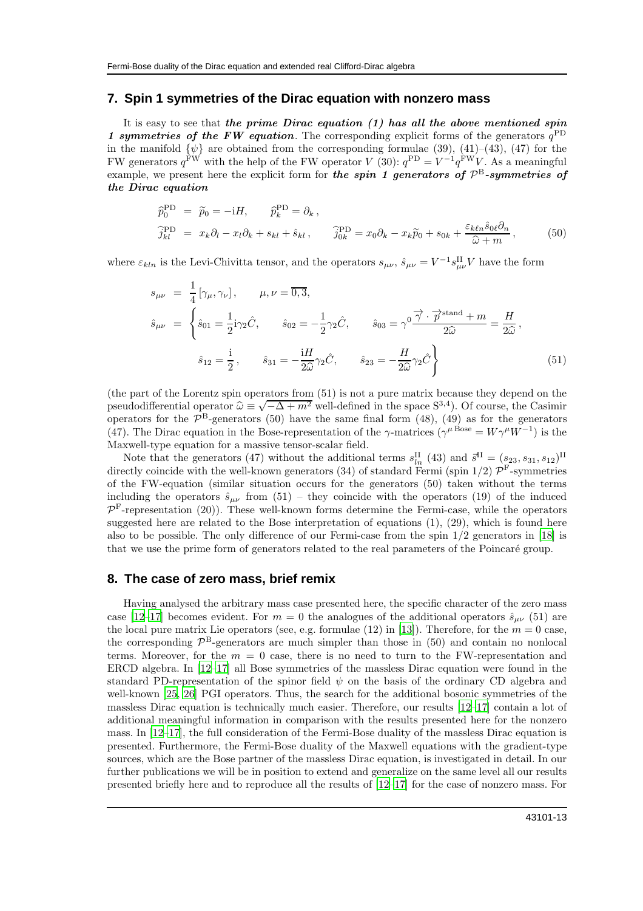#### **7. Spin 1 symmetries of the Dirac equation with nonzero mass**

It is easy to see that the prime Dirac equation  $(1)$  has all the above mentioned spin 1 symmetries of the FW equation. The corresponding explicit forms of the generators  $q^{\text{PD}}$ in the manifold  $\{\psi\}$  are obtained from the corresponding formulae (39), (41)–(43), (47) for the FW generators  $q^{\text{FW}}$  with the help of the FW operator V (30):  $q^{\text{PD}} = V^{-1}q^{\text{FW}}V$ . As a meaningful example, we present here the explicit form for the spin 1 generators of  $\mathcal{P}^{\text{B}}$ -symmetries of the Dirac equation

$$
\begin{aligned}\n\widehat{p}_0^{\text{PD}} &= \widetilde{p}_0 = -iH, \qquad \widehat{p}_k^{\text{PD}} = \partial_k, \\
\widehat{j}_{kl}^{\text{PD}} &= x_k \partial_l - x_l \partial_k + s_{kl} + \hat{s}_{kl}, \qquad \widehat{j}_{0k}^{\text{PD}} = x_0 \partial_k - x_k \widetilde{p}_0 + s_{0k} + \frac{\varepsilon_k \ell n \hat{s}_0 \ell \partial_n}{\widehat{\omega} + m},\n\end{aligned} \tag{50}
$$

where  $\varepsilon_{kln}$  is the Levi-Chivitta tensor, and the operators  $s_{\mu\nu}$ ,  $\hat{s}_{\mu\nu} = V^{-1} s_{\mu\nu}^{\text{II}} V$  have the form

$$
s_{\mu\nu} = \frac{1}{4} [\gamma_{\mu}, \gamma_{\nu}], \qquad \mu, \nu = \overline{0, 3},
$$
  
\n
$$
\hat{s}_{\mu\nu} = \begin{cases} \hat{s}_{01} = \frac{1}{2} \mathbf{i} \gamma_2 \hat{C}, & \hat{s}_{02} = -\frac{1}{2} \gamma_2 \hat{C}, & \hat{s}_{03} = \gamma^0 \frac{\overrightarrow{\gamma} \cdot \overrightarrow{p}^{\text{stand}} + m}{2\widehat{\omega}} = \frac{H}{2\widehat{\omega}}, \\ \hat{s}_{12} = \frac{\mathbf{i}}{2}, & \hat{s}_{31} = -\frac{\mathbf{i}H}{2\widehat{\omega}} \gamma_2 \hat{C}, & \hat{s}_{23} = -\frac{H}{2\widehat{\omega}} \gamma_2 \hat{C} \end{cases}
$$
\n(51)

(the part of the Lorentz spin operators from (51) is not a pure matrix because they depend on the pseudodifferential operator  $\hat{\omega} = \sqrt{\Delta + m^2}$  well-defined in the space S<sup>3,4</sup>). Of course, the Casimir<br>pseudodifferential operator  $\hat{\omega} = \sqrt{-\Delta + m^2}$  well-defined in the space S<sup>3,4</sup>). Of course, the Casimir operators for the  $\mathcal{P}^B$ -generators (50) have the same final form (48), (49) as for the generators (47). The Dirac equation in the Bose-representation of the  $\gamma$ -matrices ( $\gamma^{\mu}$ Bose =  $W\gamma^{\mu}W^{-1}$ ) is the Maxwell-type equation for a massive tensor-scalar field.

Note that the generators (47) without the additional terms  $s_{ln}^{\text{II}}(43)$  and  $\vec{s}^{\text{II}} = (s_{23}, s_{31}, s_{12})^{\text{II}}$ directly coincide with the well-known generators (34) of standard Fermi (spin  $1/2$ )  $\mathcal{P}^{\text{F}}$ -symmetries of the FW-equation (similar situation occurs for the generators (50) taken without the terms including the operators  $\hat{s}_{\mu\nu}$  from (51) – they coincide with the operators (19) of the induced  $\mathcal{P}^{\text{F}}$ -representation (20)). These well-known forms determine the Fermi-case, while the operators suggested here are related to the Bose interpretation of equations (1), (29), which is found here also to be possible. The only difference of our Fermi-case from the spin 1/2 generators in [\[18](#page-14-5)] is that we use the prime form of generators related to the real parameters of the Poincaré group.

### **8. The case of zero mass, brief remix**

Having analysed the arbitrary mass case presented here, the specific character of the zero mass case [\[12](#page-14-3)[–17\]](#page-14-4) becomes evident. For  $m = 0$  the analogues of the additional operators  $\hat{s}_{\mu\nu}$  (51) are the local pure matrix Lie operators (see, e.g. formulae (12) in [\[13](#page-14-12)]). Therefore, for the  $m = 0$  case, the corresponding  $\mathcal{P}^{\text{B}}$ -generators are much simpler than those in (50) and contain no nonlocal terms. Moreover, for the  $m = 0$  case, there is no need to turn to the FW-representation and ERCD algebra. In [\[12–](#page-14-3)[17\]](#page-14-4) all Bose symmetries of the massless Dirac equation were found in the standard PD-representation of the spinor field  $\psi$  on the basis of the ordinary CD algebra and well-known [\[25,](#page-14-13) [26\]](#page-14-14) PGI operators. Thus, the search for the additional bosonic symmetries of the massless Dirac equation is technically much easier. Therefore, our results [\[12](#page-14-3)[–17\]](#page-14-4) contain a lot of additional meaningful information in comparison with the results presented here for the nonzero mass. In [\[12](#page-14-3)[–17](#page-14-4)], the full consideration of the Fermi-Bose duality of the massless Dirac equation is presented. Furthermore, the Fermi-Bose duality of the Maxwell equations with the gradient-type sources, which are the Bose partner of the massless Dirac equation, is investigated in detail. In our further publications we will be in position to extend and generalize on the same level all our results presented briefly here and to reproduce all the results of [\[12](#page-14-3)[–17\]](#page-14-4) for the case of nonzero mass. For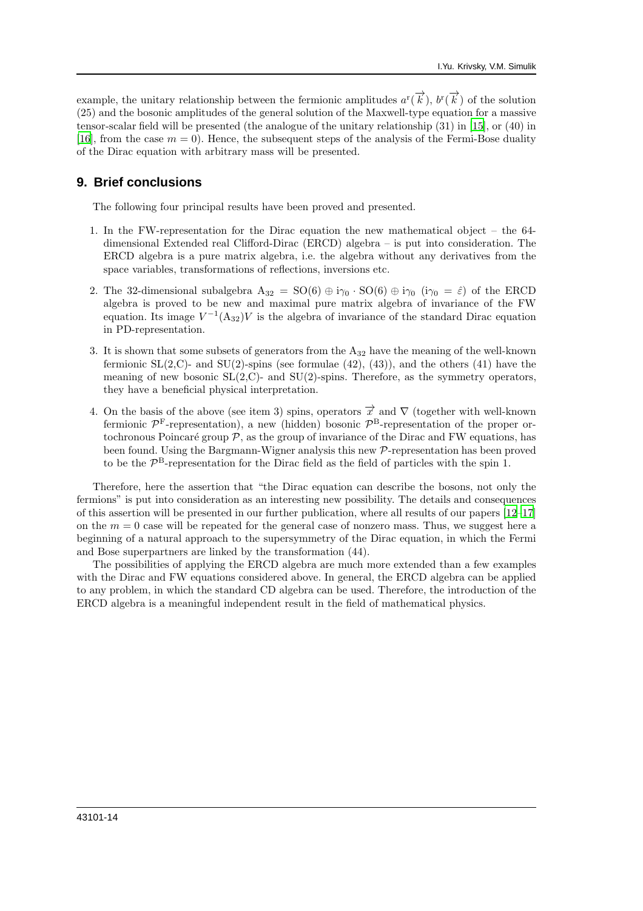example, the unitary relationship between the fermionic amplitudes  $a^r(\vec{k})$ ,  $b^r(\vec{k})$  of the solution (25) and the bosonic amplitudes of the general solution of the Maxwell-type equation for a massive tensor-scalar field will be presented (the analogue of the unitary relationship (31) in [\[15](#page-14-15)], or (40) in [\[16\]](#page-14-16), from the case  $m = 0$ . Hence, the subsequent steps of the analysis of the Fermi-Bose duality of the Dirac equation with arbitrary mass will be presented.

## **9. Brief conclusions**

The following four principal results have been proved and presented.

- 1. In the FW-representation for the Dirac equation the new mathematical object the 64 dimensional Extended real Clifford-Dirac (ERCD) algebra – is put into consideration. The ERCD algebra is a pure matrix algebra, i.e. the algebra without any derivatives from the space variables, transformations of reflections, inversions etc.
- 2. The 32-dimensional subalgebra  $A_{32} = SO(6) \oplus i\gamma_0 \cdot SO(6) \oplus i\gamma_0 \cdot (i\gamma_0 = \hat{\varepsilon})$  of the ERCD algebra is proved to be new and maximal pure matrix algebra of invariance of the FW equation. Its image  $V^{-1}(\mathbf{A}_{32})V$  is the algebra of invariance of the standard Dirac equation in PD-representation.
- 3. It is shown that some subsets of generators from the A<sup>32</sup> have the meaning of the well-known fermionic  $SL(2,C)$ - and  $SU(2)$ -spins (see formulae  $(42)$ ,  $(43)$ ), and the others  $(41)$  have the meaning of new bosonic  $SL(2, \mathbb{C})$ - and  $SU(2)$ -spins. Therefore, as the symmetry operators, they have a beneficial physical interpretation.
- 4. On the basis of the above (see item 3) spins, operators  $\vec{x}$  and  $\nabla$  (together with well-known fermionic  $\mathcal{P}^{\text{F}}$ -representation), a new (hidden) bosonic  $\mathcal{P}^{\text{B}}$ -representation of the proper ortochronous Poincaré group  $\mathcal{P}$ , as the group of invariance of the Dirac and FW equations, has been found. Using the Bargmann-Wigner analysis this new P-representation has been proved to be the  $\mathcal{P}^{\text{B}}$ -representation for the Dirac field as the field of particles with the spin 1.

Therefore, here the assertion that "the Dirac equation can describe the bosons, not only the fermions" is put into consideration as an interesting new possibility. The details and consequences of this assertion will be presented in our further publication, where all results of our papers [\[12](#page-14-3)[–17](#page-14-4)] on the  $m = 0$  case will be repeated for the general case of nonzero mass. Thus, we suggest here a beginning of a natural approach to the supersymmetry of the Dirac equation, in which the Fermi and Bose superpartners are linked by the transformation (44).

The possibilities of applying the ERCD algebra are much more extended than a few examples with the Dirac and FW equations considered above. In general, the ERCD algebra can be applied to any problem, in which the standard CD algebra can be used. Therefore, the introduction of the ERCD algebra is a meaningful independent result in the field of mathematical physics.